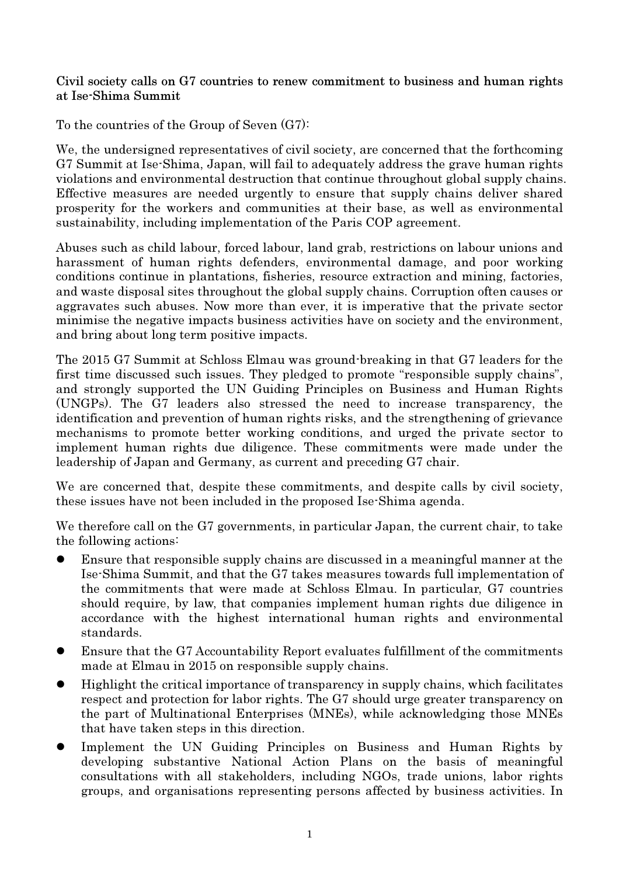Civil society calls on G7 countries to renew commitment to business and human rights at Ise-Shima Summit

To the countries of the Group of Seven (G7):

We, the undersigned representatives of civil society, are concerned that the forthcoming G7 Summit at Ise-Shima, Japan, will fail to adequately address the grave human rights violations and environmental destruction that continue throughout global supply chains. Effective measures are needed urgently to ensure that supply chains deliver shared prosperity for the workers and communities at their base, as well as environmental sustainability, including implementation of the Paris COP agreement.

Abuses such as child labour, forced labour, land grab, restrictions on labour unions and harassment of human rights defenders, environmental damage, and poor working conditions continue in plantations, fisheries, resource extraction and mining, factories, and waste disposal sites throughout the global supply chains. Corruption often causes or aggravates such abuses. Now more than ever, it is imperative that the private sector minimise the negative impacts business activities have on society and the environment, and bring about long term positive impacts.

The 2015 G7 Summit at Schloss Elmau was ground-breaking in that G7 leaders for the first time discussed such issues. They pledged to promote "responsible supply chains", and strongly supported the UN Guiding Principles on Business and Human Rights (UNGPs). The G7 leaders also stressed the need to increase transparency, the identification and prevention of human rights risks, and the strengthening of grievance mechanisms to promote better working conditions, and urged the private sector to implement human rights due diligence. These commitments were made under the leadership of Japan and Germany, as current and preceding G7 chair.

We are concerned that, despite these commitments, and despite calls by civil society, these issues have not been included in the proposed Ise-Shima agenda.

We therefore call on the G7 governments, in particular Japan, the current chair, to take the following actions:

- Ensure that responsible supply chains are discussed in a meaningful manner at the Ise-Shima Summit, and that the G7 takes measures towards full implementation of the commitments that were made at Schloss Elmau. In particular, G7 countries should require, by law, that companies implement human rights due diligence in accordance with the highest international human rights and environmental standards.
- Ensure that the G7 Accountability Report evaluates fulfillment of the commitments made at Elmau in 2015 on responsible supply chains.
- Highlight the critical importance of transparency in supply chains, which facilitates respect and protection for labor rights. The G7 should urge greater transparency on the part of Multinational Enterprises (MNEs), while acknowledging those MNEs that have taken steps in this direction.
- Implement the UN Guiding Principles on Business and Human Rights by developing substantive National Action Plans on the basis of meaningful consultations with all stakeholders, including NGOs, trade unions, labor rights groups, and organisations representing persons affected by business activities. In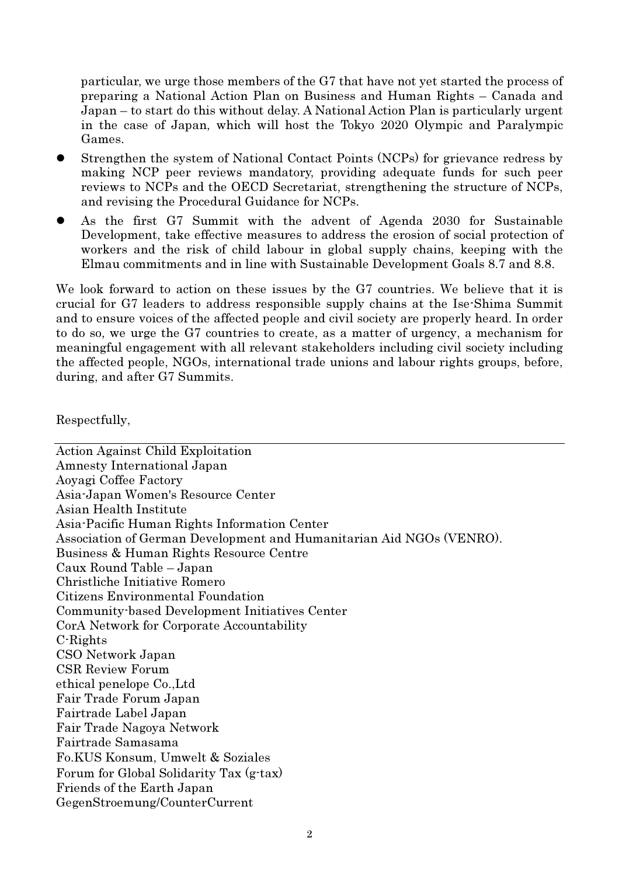particular, we urge those members of the G7 that have not yet started the process of preparing a National Action Plan on Business and Human Rights – Canada and Japan – to start do this without delay. A National Action Plan is particularly urgent in the case of Japan, which will host the Tokyo 2020 Olympic and Paralympic Games.

- Strengthen the system of National Contact Points (NCPs) for grievance redress by making NCP peer reviews mandatory, providing adequate funds for such peer reviews to NCPs and the OECD Secretariat, strengthening the structure of NCPs, and revising the Procedural Guidance for NCPs.
- As the first G7 Summit with the advent of Agenda 2030 for Sustainable Development, take effective measures to address the erosion of social protection of workers and the risk of child labour in global supply chains, keeping with the Elmau commitments and in line with Sustainable Development Goals 8.7 and 8.8.

We look forward to action on these issues by the G7 countries. We believe that it is crucial for G7 leaders to address responsible supply chains at the Ise-Shima Summit and to ensure voices of the affected people and civil society are properly heard. In order to do so, we urge the G7 countries to create, as a matter of urgency, a mechanism for meaningful engagement with all relevant stakeholders including civil society including the affected people, NGOs, international trade unions and labour rights groups, before, during, and after G7 Summits.

Respectfully,

Action Against Child Exploitation Amnesty International Japan Aoyagi Coffee Factory Asia-Japan Women's Resource Center Asian Health Institute Asia-Pacific Human Rights Information Center Association of German Development and Humanitarian Aid NGOs (VENRO). Business & Human Rights Resource Centre Caux Round Table – Japan Christliche Initiative Romero Citizens Environmental Foundation Community-based Development Initiatives Center CorA Network for Corporate Accountability C-Rights CSO Network Japan CSR Review Forum ethical penelope Co.,Ltd Fair Trade Forum Japan Fairtrade Label Japan Fair Trade Nagoya Network Fairtrade Samasama Fo.KUS Konsum, Umwelt & Soziales Forum for Global Solidarity Tax (g-tax) Friends of the Earth Japan GegenStroemung/CounterCurrent